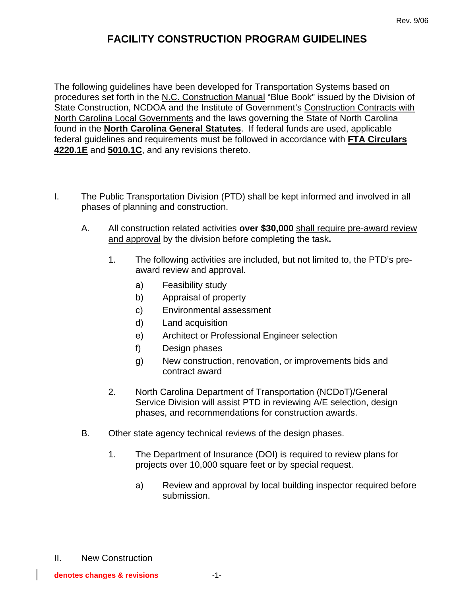## **FACILITY CONSTRUCTION PROGRAM GUIDELINES**

The following guidelines have been developed for Transportation Systems based on procedures set forth in the N.C. Construction Manual "Blue Book" issued by the Division of State Construction, NCDOA and the Institute of Government's Construction Contracts with North Carolina Local Governments and the laws governing the State of North Carolina found in the **North Carolina General Statutes**. If federal funds are used, applicable federal guidelines and requirements must be followed in accordance with **FTA Circulars 4220.1E** and **5010.1C**, and any revisions thereto.

- I. The Public Transportation Division (PTD) shall be kept informed and involved in all phases of planning and construction.
	- A. All construction related activities **over \$30,000** shall require pre-award review and approval by the division before completing the task**.**
		- 1. The following activities are included, but not limited to, the PTD's preaward review and approval.
			- a) Feasibility study
			- b) Appraisal of property
			- c) Environmental assessment
			- d) Land acquisition
			- e) Architect or Professional Engineer selection
			- f) Design phases
			- g) New construction, renovation, or improvements bids and contract award
		- 2. North Carolina Department of Transportation (NCDoT)/General Service Division will assist PTD in reviewing A/E selection, design phases, and recommendations for construction awards.
	- B. Other state agency technical reviews of the design phases.
		- 1. The Department of Insurance (DOI) is required to review plans for projects over 10,000 square feet or by special request.
			- a) Review and approval by local building inspector required before submission.
- II. New Construction

**denotes changes & revisions** -1-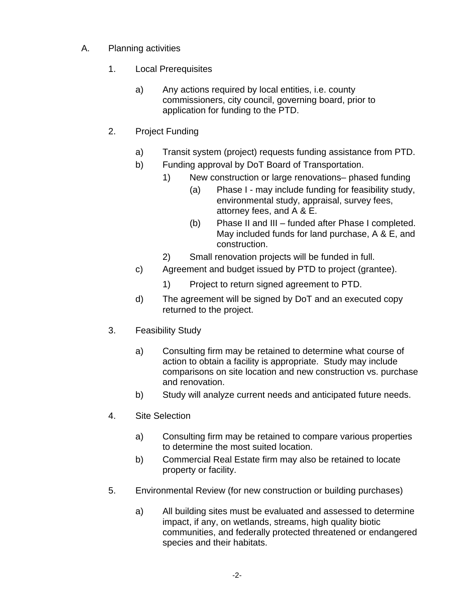- A. Planning activities
	- 1. Local Prerequisites
		- a) Any actions required by local entities, i.e. county commissioners, city council, governing board, prior to application for funding to the PTD.
	- 2. Project Funding
		- a) Transit system (project) requests funding assistance from PTD.
		- b) Funding approval by DoT Board of Transportation.
			- 1) New construction or large renovations– phased funding
				- (a) Phase I may include funding for feasibility study, environmental study, appraisal, survey fees, attorney fees, and A & E.
				- (b) Phase II and III funded after Phase I completed. May included funds for land purchase, A & E, and construction.
			- 2) Small renovation projects will be funded in full.
		- c) Agreement and budget issued by PTD to project (grantee).
			- 1) Project to return signed agreement to PTD.
		- d) The agreement will be signed by DoT and an executed copy returned to the project.
	- 3. Feasibility Study
		- a) Consulting firm may be retained to determine what course of action to obtain a facility is appropriate. Study may include comparisons on site location and new construction vs. purchase and renovation.
		- b) Study will analyze current needs and anticipated future needs.
	- 4. Site Selection
		- a) Consulting firm may be retained to compare various properties to determine the most suited location.
		- b) Commercial Real Estate firm may also be retained to locate property or facility.
	- 5. Environmental Review (for new construction or building purchases)
		- a) All building sites must be evaluated and assessed to determine impact, if any, on wetlands, streams, high quality biotic communities, and federally protected threatened or endangered species and their habitats.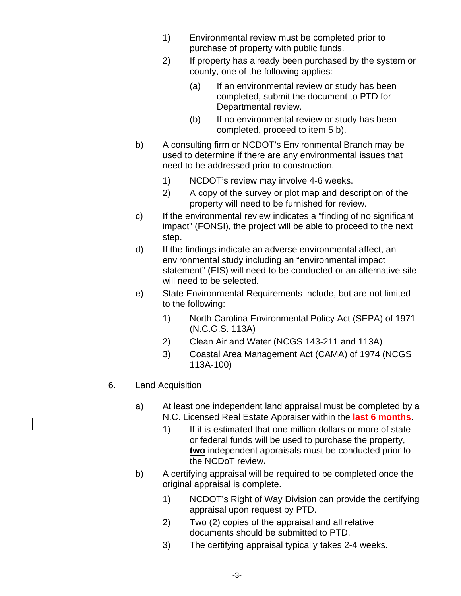- 1) Environmental review must be completed prior to purchase of property with public funds.
- 2) If property has already been purchased by the system or county, one of the following applies:
	- (a) If an environmental review or study has been completed, submit the document to PTD for Departmental review.
	- (b) If no environmental review or study has been completed, proceed to item 5 b).
- b) A consulting firm or NCDOT's Environmental Branch may be used to determine if there are any environmental issues that need to be addressed prior to construction.
	- 1) NCDOT's review may involve 4-6 weeks.
	- 2) A copy of the survey or plot map and description of the property will need to be furnished for review.
- c) If the environmental review indicates a "finding of no significant impact" (FONSI), the project will be able to proceed to the next step.
- d) If the findings indicate an adverse environmental affect, an environmental study including an "environmental impact statement" (EIS) will need to be conducted or an alternative site will need to be selected.
- e) State Environmental Requirements include, but are not limited to the following:
	- 1) North Carolina Environmental Policy Act (SEPA) of 1971 (N.C.G.S. 113A)
	- 2) Clean Air and Water (NCGS 143-211 and 113A)
	- 3) Coastal Area Management Act (CAMA) of 1974 (NCGS 113A-100)
- 6. Land Acquisition
	- a) At least one independent land appraisal must be completed by a N.C. Licensed Real Estate Appraiser within the **last 6 months**.
		- 1) If it is estimated that one million dollars or more of state or federal funds will be used to purchase the property, **two** independent appraisals must be conducted prior to the NCDoT review**.**
	- b) A certifying appraisal will be required to be completed once the original appraisal is complete.
		- 1) NCDOT's Right of Way Division can provide the certifying appraisal upon request by PTD.
		- 2) Two (2) copies of the appraisal and all relative documents should be submitted to PTD.
		- 3) The certifying appraisal typically takes 2-4 weeks.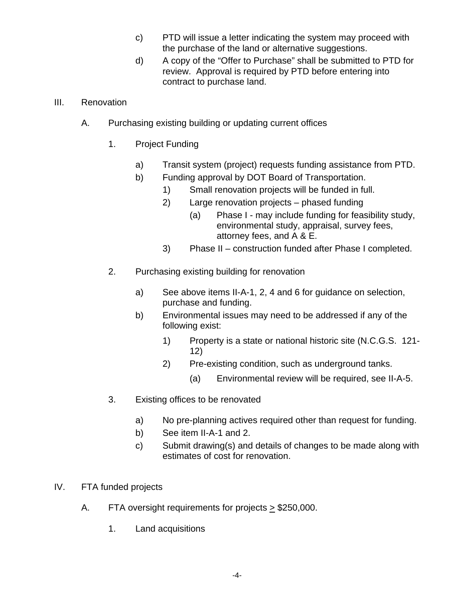- c) PTD will issue a letter indicating the system may proceed with the purchase of the land or alternative suggestions.
- d) A copy of the "Offer to Purchase" shall be submitted to PTD for review. Approval is required by PTD before entering into contract to purchase land.

## III. Renovation

- A. Purchasing existing building or updating current offices
	- 1. Project Funding
		- a) Transit system (project) requests funding assistance from PTD.
		- b) Funding approval by DOT Board of Transportation.
			- 1) Small renovation projects will be funded in full.
			- 2) Large renovation projects phased funding
				- (a) Phase I may include funding for feasibility study, environmental study, appraisal, survey fees, attorney fees, and A & E.
			- 3) Phase II construction funded after Phase I completed.
	- 2. Purchasing existing building for renovation
		- a) See above items II-A-1, 2, 4 and 6 for guidance on selection, purchase and funding.
		- b) Environmental issues may need to be addressed if any of the following exist:
			- 1) Property is a state or national historic site (N.C.G.S. 121- 12)
			- 2) Pre-existing condition, such as underground tanks.
				- (a) Environmental review will be required, see II-A-5.
	- 3. Existing offices to be renovated
		- a) No pre-planning actives required other than request for funding.
		- b) See item II-A-1 and 2.
		- c) Submit drawing(s) and details of changes to be made along with estimates of cost for renovation.
- IV. FTA funded projects
	- A. FTA oversight requirements for projects > \$250,000.
		- 1. Land acquisitions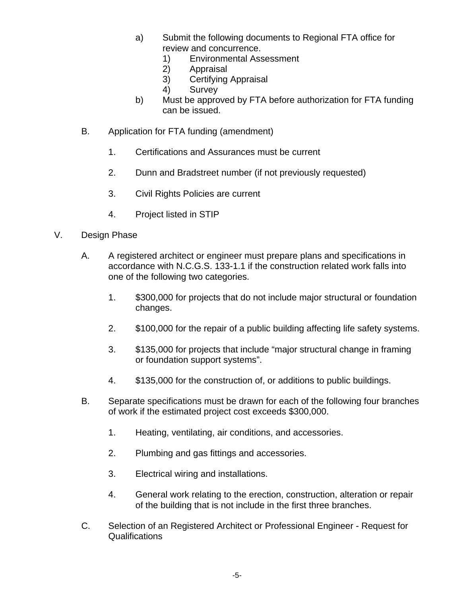- a) Submit the following documents to Regional FTA office for review and concurrence.
	- 1) Environmental Assessment
	- 2) Appraisal
	- 3) Certifying Appraisal
	- 4) Survey
- b) Must be approved by FTA before authorization for FTA funding can be issued.
- B. Application for FTA funding (amendment)
	- 1. Certifications and Assurances must be current
	- 2. Dunn and Bradstreet number (if not previously requested)
	- 3. Civil Rights Policies are current
	- 4. Project listed in STIP
- V. Design Phase
	- A. A registered architect or engineer must prepare plans and specifications in accordance with N.C.G.S. 133-1.1 if the construction related work falls into one of the following two categories.
		- 1. \$300,000 for projects that do not include major structural or foundation changes.
		- 2. \$100,000 for the repair of a public building affecting life safety systems.
		- 3. \$135,000 for projects that include "major structural change in framing or foundation support systems".
		- 4. \$135,000 for the construction of, or additions to public buildings.
	- B. Separate specifications must be drawn for each of the following four branches of work if the estimated project cost exceeds \$300,000.
		- 1. Heating, ventilating, air conditions, and accessories.
		- 2. Plumbing and gas fittings and accessories.
		- 3. Electrical wiring and installations.
		- 4. General work relating to the erection, construction, alteration or repair of the building that is not include in the first three branches.
	- C. Selection of an Registered Architect or Professional Engineer Request for Qualifications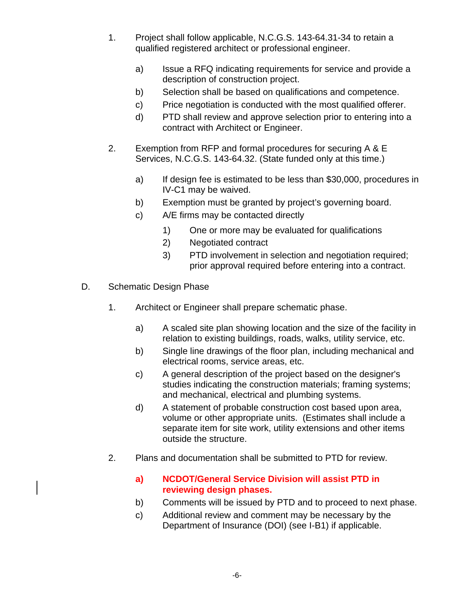- 1. Project shall follow applicable, N.C.G.S. 143-64.31-34 to retain a qualified registered architect or professional engineer.
	- a) Issue a RFQ indicating requirements for service and provide a description of construction project.
	- b) Selection shall be based on qualifications and competence.
	- c) Price negotiation is conducted with the most qualified offerer.
	- d) PTD shall review and approve selection prior to entering into a contract with Architect or Engineer.
- 2. Exemption from RFP and formal procedures for securing A & E Services, N.C.G.S. 143-64.32. (State funded only at this time.)
	- a) If design fee is estimated to be less than \$30,000, procedures in IV-C1 may be waived.
	- b) Exemption must be granted by project's governing board.
	- c) A/E firms may be contacted directly
		- 1) One or more may be evaluated for qualifications
		- 2) Negotiated contract
		- 3) PTD involvement in selection and negotiation required; prior approval required before entering into a contract.
- D. Schematic Design Phase
	- 1. Architect or Engineer shall prepare schematic phase.
		- a) A scaled site plan showing location and the size of the facility in relation to existing buildings, roads, walks, utility service, etc.
		- b) Single line drawings of the floor plan, including mechanical and electrical rooms, service areas, etc.
		- c) A general description of the project based on the designer's studies indicating the construction materials; framing systems; and mechanical, electrical and plumbing systems.
		- d) A statement of probable construction cost based upon area, volume or other appropriate units. (Estimates shall include a separate item for site work, utility extensions and other items outside the structure.
	- 2. Plans and documentation shall be submitted to PTD for review.
		- **a) NCDOT/General Service Division will assist PTD in reviewing design phases.**
		- b) Comments will be issued by PTD and to proceed to next phase.
		- c) Additional review and comment may be necessary by the Department of Insurance (DOI) (see I-B1) if applicable.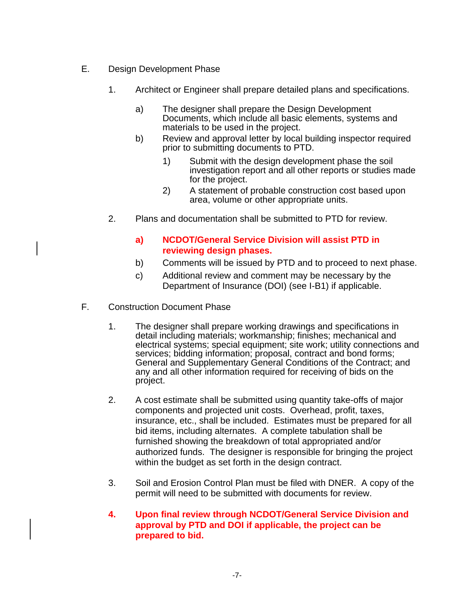- E. Design Development Phase
	- 1. Architect or Engineer shall prepare detailed plans and specifications.
		- a) The designer shall prepare the Design Development Documents, which include all basic elements, systems and materials to be used in the project.
		- b) Review and approval letter by local building inspector required prior to submitting documents to PTD.
			- 1) Submit with the design development phase the soil investigation report and all other reports or studies made for the project.
			- 2) A statement of probable construction cost based upon area, volume or other appropriate units.
	- 2. Plans and documentation shall be submitted to PTD for review.

## **a) NCDOT/General Service Division will assist PTD in reviewing design phases.**

- b) Comments will be issued by PTD and to proceed to next phase.
- c) Additional review and comment may be necessary by the Department of Insurance (DOI) (see I-B1) if applicable.
- F. Construction Document Phase
	- 1. The designer shall prepare working drawings and specifications in detail including materials; workmanship; finishes; mechanical and electrical systems; special equipment; site work; utility connections and services; bidding information; proposal, contract and bond forms; General and Supplementary General Conditions of the Contract; and any and all other information required for receiving of bids on the project.
	- 2. A cost estimate shall be submitted using quantity take-offs of major components and projected unit costs. Overhead, profit, taxes, insurance, etc., shall be included. Estimates must be prepared for all bid items, including alternates. A complete tabulation shall be furnished showing the breakdown of total appropriated and/or authorized funds. The designer is responsible for bringing the project within the budget as set forth in the design contract.
	- 3. Soil and Erosion Control Plan must be filed with DNER. A copy of the permit will need to be submitted with documents for review.
	- **4. Upon final review through NCDOT/General Service Division and approval by PTD and DOI if applicable, the project can be prepared to bid.**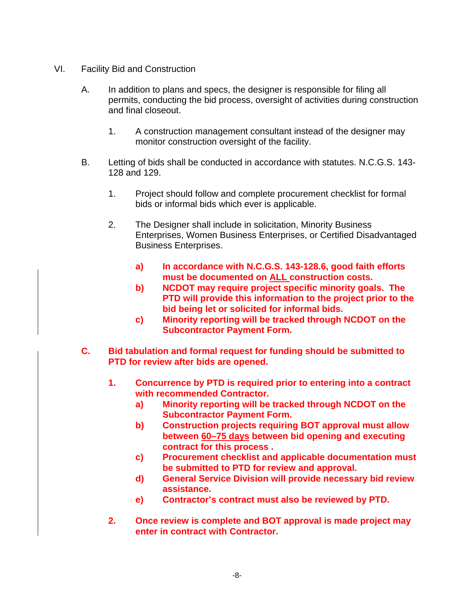- VI. Facility Bid and Construction
	- A. In addition to plans and specs, the designer is responsible for filing all permits, conducting the bid process, oversight of activities during construction and final closeout.
		- 1. A construction management consultant instead of the designer may monitor construction oversight of the facility.
	- B. Letting of bids shall be conducted in accordance with statutes. N.C.G.S. 143- 128 and 129.
		- 1. Project should follow and complete procurement checklist for formal bids or informal bids which ever is applicable.
		- 2. The Designer shall include in solicitation, Minority Business Enterprises, Women Business Enterprises, or Certified Disadvantaged Business Enterprises.
			- **a) In accordance with N.C.G.S. 143-128.6, good faith efforts must be documented on ALL construction costs.**
			- **b) NCDOT may require project specific minority goals. The PTD will provide this information to the project prior to the bid being let or solicited for informal bids.**
			- **c) Minority reporting will be tracked through NCDOT on the Subcontractor Payment Form.**
	- **C. Bid tabulation and formal request for funding should be submitted to PTD for review after bids are opened.** 
		- **1. Concurrence by PTD is required prior to entering into a contract with recommended Contractor.** 
			- **a) Minority reporting will be tracked through NCDOT on the Subcontractor Payment Form.**
			- **b) Construction projects requiring BOT approval must allow between 60–75 days between bid opening and executing contract for this process .**
			- **c) Procurement checklist and applicable documentation must be submitted to PTD for review and approval.**
			- **d) General Service Division will provide necessary bid review assistance.**
			- **e) Contractor's contract must also be reviewed by PTD.**
		- **2. Once review is complete and BOT approval is made project may enter in contract with Contractor.**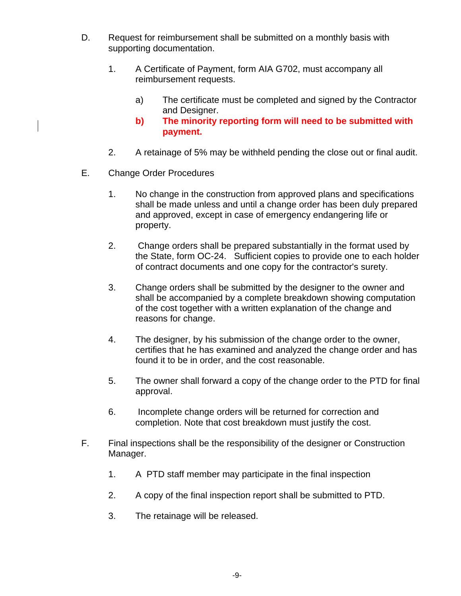- D. Request for reimbursement shall be submitted on a monthly basis with supporting documentation.
	- 1. A Certificate of Payment, form AIA G702, must accompany all reimbursement requests.
		- a) The certificate must be completed and signed by the Contractor and Designer.
		- **b) The minority reporting form will need to be submitted with payment.**
	- 2. A retainage of 5% may be withheld pending the close out or final audit.
- E. Change Order Procedures
	- 1. No change in the construction from approved plans and specifications shall be made unless and until a change order has been duly prepared and approved, except in case of emergency endangering life or property.
	- 2. Change orders shall be prepared substantially in the format used by the State, form OC-24. Sufficient copies to provide one to each holder of contract documents and one copy for the contractor's surety.
	- 3. Change orders shall be submitted by the designer to the owner and shall be accompanied by a complete breakdown showing computation of the cost together with a written explanation of the change and reasons for change.
	- 4. The designer, by his submission of the change order to the owner, certifies that he has examined and analyzed the change order and has found it to be in order, and the cost reasonable.
	- 5. The owner shall forward a copy of the change order to the PTD for final approval.
	- 6. Incomplete change orders will be returned for correction and completion. Note that cost breakdown must justify the cost.
- F. Final inspections shall be the responsibility of the designer or Construction Manager.
	- 1. A PTD staff member may participate in the final inspection
	- 2. A copy of the final inspection report shall be submitted to PTD.
	- 3. The retainage will be released.